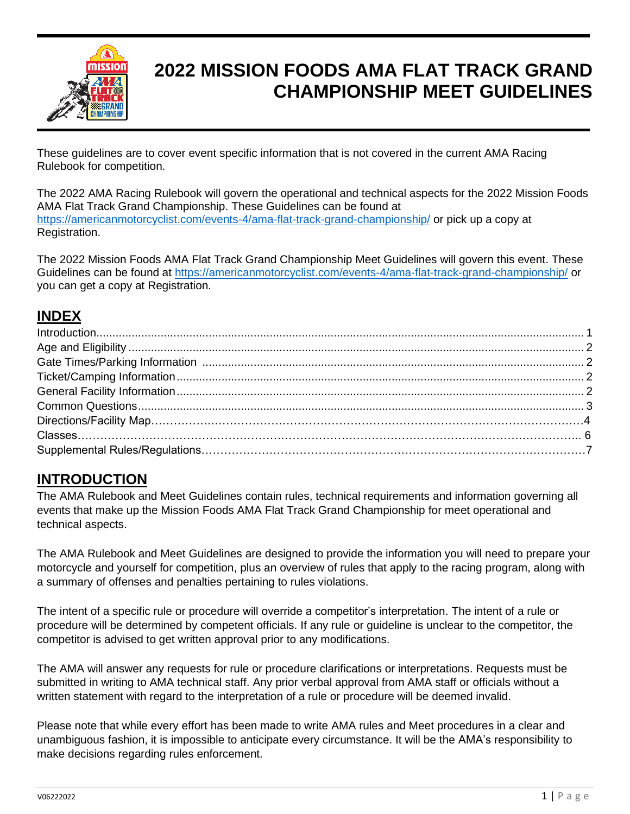

# **2022 MISSION FOODS AMA FLAT TRACK GRAND CHAMPIONSHIP MEET GUIDELINES**

These guidelines are to cover event specific information that is not covered in the current AMA Racing Rulebook for competition.

The 2022 AMA Racing Rulebook will govern the operational and technical aspects for the 2022 Mission Foods AMA Flat Track Grand Championship. These Guidelines can be found at <https://americanmotorcyclist.com/events-4/ama-flat-track-grand-championship/> or pick up a copy at Registration.

The 2022 Mission Foods AMA Flat Track Grand Championship Meet Guidelines will govern this event. These Guidelines can be found at<https://americanmotorcyclist.com/events-4/ama-flat-track-grand-championship/> or you can get a copy at Registration.

### **INDEX**

### **INTRODUCTION**

The AMA Rulebook and Meet Guidelines contain rules, technical requirements and information governing all events that make up the Mission Foods AMA Flat Track Grand Championship for meet operational and technical aspects.

The AMA Rulebook and Meet Guidelines are designed to provide the information you will need to prepare your motorcycle and yourself for competition, plus an overview of rules that apply to the racing program, along with a summary of offenses and penalties pertaining to rules violations.

The intent of a specific rule or procedure will override a competitor's interpretation. The intent of a rule or procedure will be determined by competent officials. If any rule or guideline is unclear to the competitor, the competitor is advised to get written approval prior to any modifications.

The AMA will answer any requests for rule or procedure clarifications or interpretations. Requests must be submitted in writing to AMA technical staff. Any prior verbal approval from AMA staff or officials without a written statement with regard to the interpretation of a rule or procedure will be deemed invalid.

Please note that while every effort has been made to write AMA rules and Meet procedures in a clear and unambiguous fashion, it is impossible to anticipate every circumstance. It will be the AMA's responsibility to make decisions regarding rules enforcement.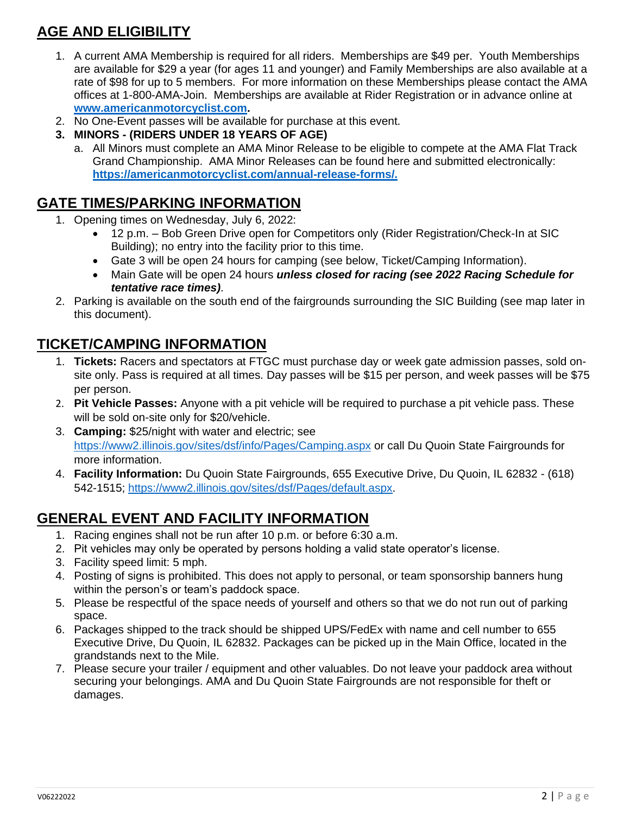## **AGE AND ELIGIBILITY**

- 1. A current AMA Membership is required for all riders. Memberships are \$49 per. Youth Memberships are available for \$29 a year (for ages 11 and younger) and Family Memberships are also available at a rate of \$98 for up to 5 members. For more information on these Memberships please contact the AMA offices at 1-800-AMA-Join. Memberships are available at Rider Registration or in advance online at **[www.americanmotorcyclist.com.](http://www.americanmotorcyclist.com/)**
- 2. No One-Event passes will be available for purchase at this event.
- **3. MINORS - (RIDERS UNDER 18 YEARS OF AGE)**
	- a. All Minors must complete an AMA Minor Release to be eligible to compete at the AMA Flat Track Grand Championship. AMA Minor Releases can be found here and submitted electronically: **[https://americanmotorcyclist.com/annual-release-forms/.](https://americanmotorcyclist.com/annual-release-forms/)**

### **GATE TIMES/PARKING INFORMATION**

- 1. Opening times on Wednesday, July 6, 2022:
	- 12 p.m. Bob Green Drive open for Competitors only (Rider Registration/Check-In at SIC Building); no entry into the facility prior to this time.
	- Gate 3 will be open 24 hours for camping (see below, Ticket/Camping Information).
	- Main Gate will be open 24 hours *unless closed for racing (see 2022 Racing Schedule for tentative race times)*.
- 2. Parking is available on the south end of the fairgrounds surrounding the SIC Building (see map later in this document).

### **TICKET/CAMPING INFORMATION**

- 1. **Tickets:** Racers and spectators at FTGC must purchase day or week gate admission passes, sold onsite only. Pass is required at all times. Day passes will be \$15 per person, and week passes will be \$75 per person.
- 2. **Pit Vehicle Passes:** Anyone with a pit vehicle will be required to purchase a pit vehicle pass. These will be sold on-site only for \$20/vehicle.
- 3. **Camping:** \$25/night with water and electric; see <https://www2.illinois.gov/sites/dsf/info/Pages/Camping.aspx> or call Du Quoin State Fairgrounds for more information.
- 4. **Facility Information:** Du Quoin State Fairgrounds, 655 Executive Drive, Du Quoin, IL 62832 (618) 542-1515; [https://www2.illinois.gov/sites/dsf/Pages/default.aspx.](https://www2.illinois.gov/sites/dsf/Pages/default.aspx)

### **GENERAL EVENT AND FACILITY INFORMATION**

- 1. Racing engines shall not be run after 10 p.m. or before 6:30 a.m.
- 2. Pit vehicles may only be operated by persons holding a valid state operator's license.
- 3. Facility speed limit: 5 mph.
- 4. Posting of signs is prohibited. This does not apply to personal, or team sponsorship banners hung within the person's or team's paddock space.
- 5. Please be respectful of the space needs of yourself and others so that we do not run out of parking space.
- 6. Packages shipped to the track should be shipped UPS/FedEx with name and cell number to 655 Executive Drive, Du Quoin, IL 62832. Packages can be picked up in the Main Office, located in the grandstands next to the Mile.
- 7. Please secure your trailer / equipment and other valuables. Do not leave your paddock area without securing your belongings. AMA and Du Quoin State Fairgrounds are not responsible for theft or damages.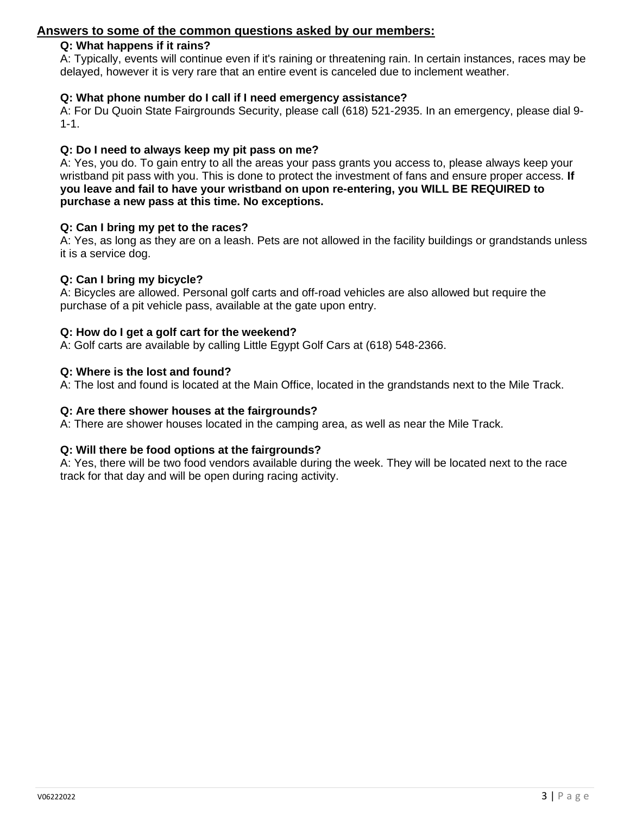#### **Answers to some of the common questions asked by our members:**

#### **Q: What happens if it rains?**

A: Typically, events will continue even if it's raining or threatening rain. In certain instances, races may be delayed, however it is very rare that an entire event is canceled due to inclement weather.

#### **Q: What phone number do I call if I need emergency assistance?**

A: For Du Quoin State Fairgrounds Security, please call (618) 521-2935. In an emergency, please dial 9- 1-1.

#### **Q: Do I need to always keep my pit pass on me?**

A: Yes, you do. To gain entry to all the areas your pass grants you access to, please always keep your wristband pit pass with you. This is done to protect the investment of fans and ensure proper access. **If you leave and fail to have your wristband on upon re-entering, you WILL BE REQUIRED to purchase a new pass at this time. No exceptions.**

#### **Q: Can I bring my pet to the races?**

A: Yes, as long as they are on a leash. Pets are not allowed in the facility buildings or grandstands unless it is a service dog.

#### **Q: Can I bring my bicycle?**

A: Bicycles are allowed. Personal golf carts and off-road vehicles are also allowed but require the purchase of a pit vehicle pass, available at the gate upon entry.

#### **Q: How do I get a golf cart for the weekend?**

A: Golf carts are available by calling Little Egypt Golf Cars at (618) 548-2366.

#### **Q: Where is the lost and found?**

A: The lost and found is located at the Main Office, located in the grandstands next to the Mile Track.

#### **Q: Are there shower houses at the fairgrounds?**

A: There are shower houses located in the camping area, as well as near the Mile Track.

#### **Q: Will there be food options at the fairgrounds?**

A: Yes, there will be two food vendors available during the week. They will be located next to the race track for that day and will be open during racing activity.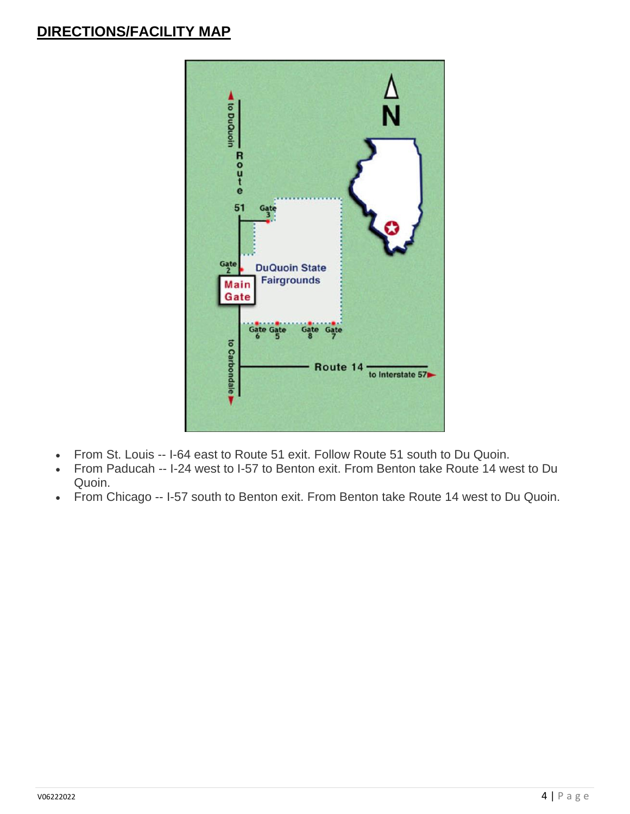### **DIRECTIONS/FACILITY MAP**



- From St. Louis -- I-64 east to Route 51 exit. Follow Route 51 south to Du Quoin.
- From Paducah -- I-24 west to I-57 to Benton exit. From Benton take Route 14 west to Du Quoin.
- From Chicago -- I-57 south to Benton exit. From Benton take Route 14 west to Du Quoin.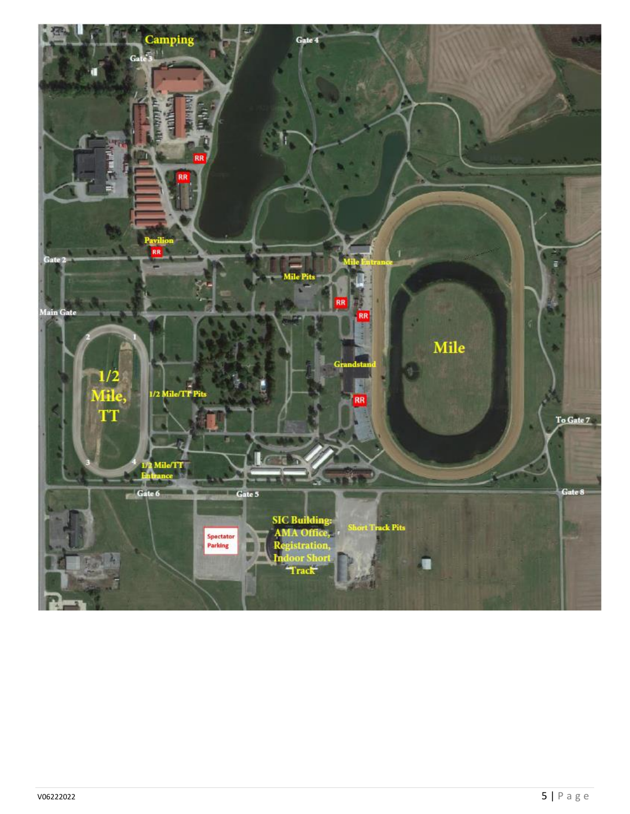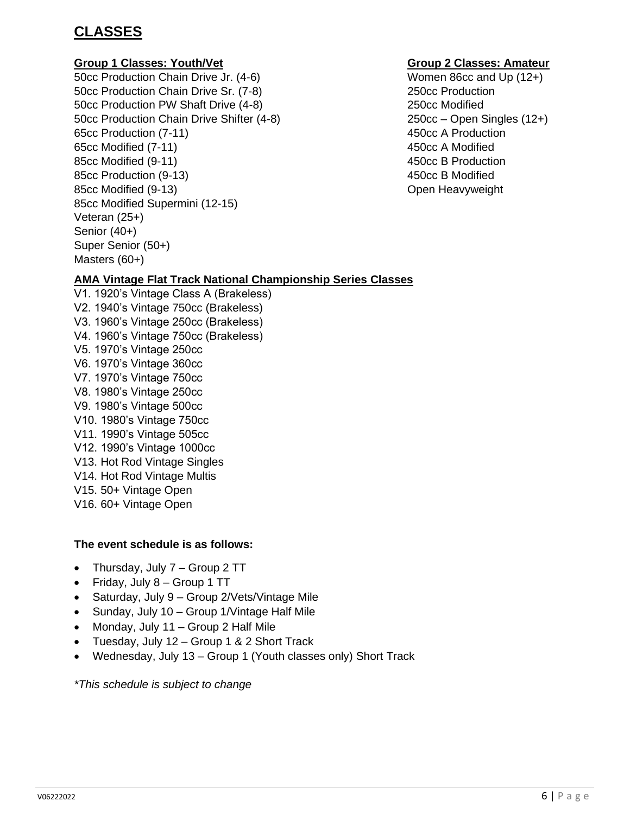### **CLASSES**

#### **Group 1 Classes: Youth/Vet Group 2 Classes: Amateur**

50cc Production Chain Drive Jr. (4-6) Women 86cc and Up (12+) 50cc Production Chain Drive Sr. (7-8) 250cc Production 50cc Production PW Shaft Drive (4-8) 250cc Modified 50cc Production Chain Drive Shifter (4-8) 250cc – Open Singles (12+) 65cc Production (7-11) 450cc A Production 65cc Modified (7-11) 450cc A Modified 85cc Modified (9-11) 450cc B Production 85cc Production (9-13) 450cc B Modified 85cc Modified (9-13) **SECC Modified (9-13)** CDER Heavyweight 85cc Modified Supermini (12-15) Veteran (25+) Senior (40+) Super Senior (50+) Masters (60+)

### **AMA Vintage Flat Track National Championship Series Classes**

V1. 1920's Vintage Class A (Brakeless) V2. 1940's Vintage 750cc (Brakeless) V3. 1960's Vintage 250cc (Brakeless) V4. 1960's Vintage 750cc (Brakeless) V5. 1970's Vintage 250cc V6. 1970's Vintage 360cc V7. 1970's Vintage 750cc V8. 1980's Vintage 250cc V9. 1980's Vintage 500cc V10. 1980's Vintage 750cc V11. 1990's Vintage 505cc V12. 1990's Vintage 1000cc V13. Hot Rod Vintage Singles V14. Hot Rod Vintage Multis V15. 50+ Vintage Open V16. 60+ Vintage Open

#### **The event schedule is as follows:**

- Thursday, July 7 Group 2 TT
- Friday, July 8 Group 1 TT
- Saturday, July 9 Group 2/Vets/Vintage Mile
- Sunday, July 10 Group 1/Vintage Half Mile
- Monday, July 11 Group 2 Half Mile
- Tuesday, July 12 Group 1 & 2 Short Track
- Wednesday, July 13 Group 1 (Youth classes only) Short Track

*\*This schedule is subject to change*